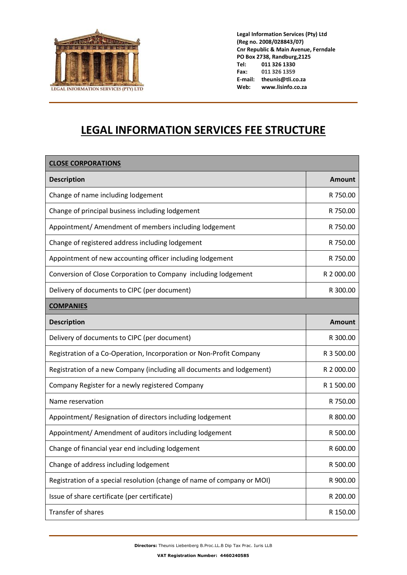

**Legal Information Services (Pty) Ltd (Reg no. 2008/028843/07) Cnr Republic & Main Avenue, Ferndale PO Box 2738, Randburg,2125 Tel: 011 326 1330 Fax: 011 326 1359 E-mail: theunis@tli.co.za Web: www.lisinfo.co.za**

## **LEGAL INFORMATION SERVICES FEE STRUCTURE**

| <b>CLOSE CORPORATIONS</b>                                               |            |
|-------------------------------------------------------------------------|------------|
| <b>Description</b>                                                      | Amount     |
| Change of name including lodgement                                      | R 750.00   |
| Change of principal business including lodgement                        | R 750.00   |
| Appointment/ Amendment of members including lodgement                   | R 750.00   |
| Change of registered address including lodgement                        | R 750.00   |
| Appointment of new accounting officer including lodgement               | R 750.00   |
| Conversion of Close Corporation to Company including lodgement          | R 2 000.00 |
| Delivery of documents to CIPC (per document)                            | R 300.00   |
| <b>COMPANIES</b>                                                        |            |
| <b>Description</b>                                                      | Amount     |
| Delivery of documents to CIPC (per document)                            | R 300.00   |
| Registration of a Co-Operation, Incorporation or Non-Profit Company     | R 3 500.00 |
| Registration of a new Company (including all documents and lodgement)   | R 2 000.00 |
| Company Register for a newly registered Company                         | R 1 500.00 |
| Name reservation                                                        | R 750.00   |
| Appointment/ Resignation of directors including lodgement               | R 800.00   |
| Appointment/ Amendment of auditors including lodgement                  | R 500.00   |
| Change of financial year end including lodgement                        | R 600.00   |
| Change of address including lodgement                                   | R 500.00   |
| Registration of a special resolution (change of name of company or MOI) | R 900.00   |
| Issue of share certificate (per certificate)                            | R 200.00   |
| Transfer of shares                                                      | R 150.00   |